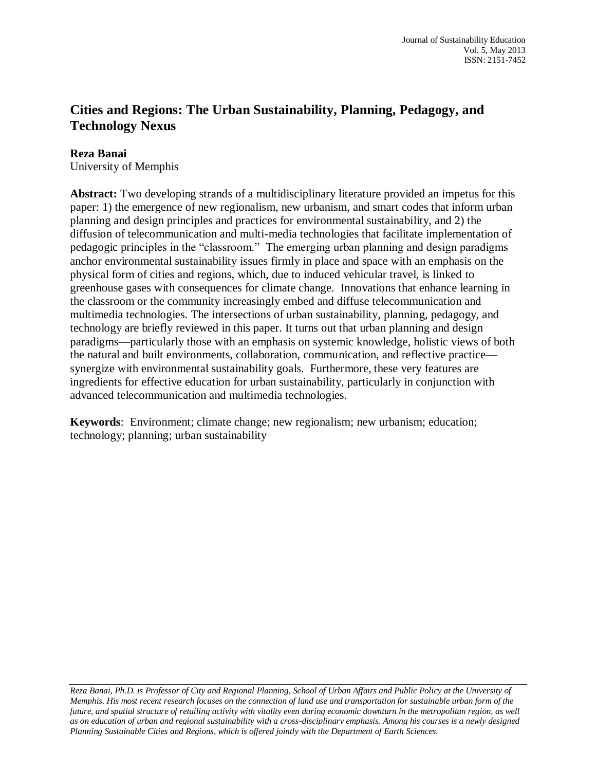## **Cities and Regions: The Urban Sustainability, Planning, Pedagogy, and Technology Nexus**

# **Reza Banai**

University of Memphis

**Abstract:** Two developing strands of a multidisciplinary literature provided an impetus for this paper: 1) the emergence of new regionalism, new urbanism, and smart codes that inform urban planning and design principles and practices for environmental sustainability, and 2) the diffusion of telecommunication and multi-media technologies that facilitate implementation of pedagogic principles in the "classroom." The emerging urban planning and design paradigms anchor environmental sustainability issues firmly in place and space with an emphasis on the physical form of cities and regions, which, due to induced vehicular travel, is linked to greenhouse gases with consequences for climate change. Innovations that enhance learning in the classroom or the community increasingly embed and diffuse telecommunication and multimedia technologies. The intersections of urban sustainability, planning, pedagogy, and technology are briefly reviewed in this paper. It turns out that urban planning and design paradigms—particularly those with an emphasis on systemic knowledge, holistic views of both the natural and built environments, collaboration, communication, and reflective practice synergize with environmental sustainability goals. Furthermore, these very features are ingredients for effective education for urban sustainability, particularly in conjunction with advanced telecommunication and multimedia technologies.

**Keywords**: Environment; climate change; new regionalism; new urbanism; education; technology; planning; urban sustainability

*Reza Banai, Ph.D. is Professor of City and Regional Planning, School of Urban Affairs and Public Policy at the University of Memphis. His most recent research focuses on the connection of land use and transportation for sustainable urban form of the future, and spatial structure of retailing activity with vitality even during economic downturn in the metropolitan region, as well as on education of urban and regional sustainability with a cross-disciplinary emphasis. Among his courses is a newly designed Planning Sustainable Cities and Regions, which is offered jointly with the Department of Earth Sciences.*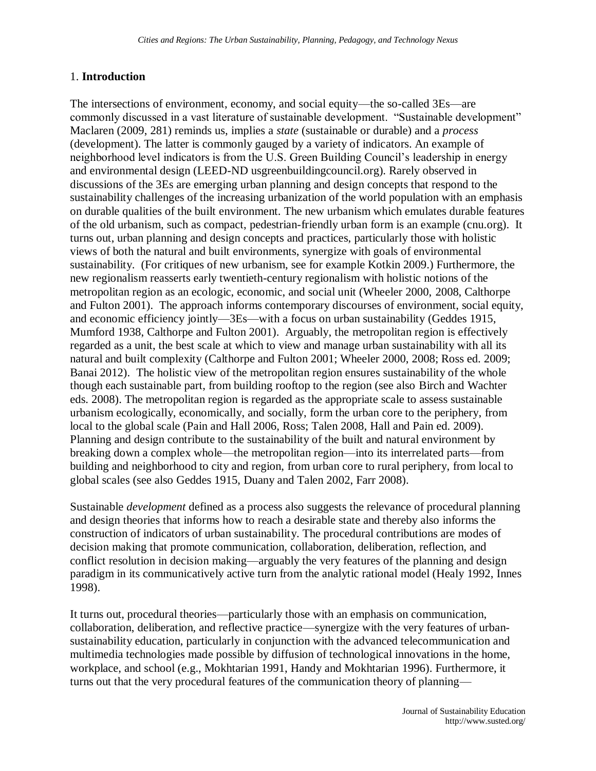## 1. **Introduction**

The intersections of environment, economy, and social equity—the so-called 3Es—are commonly discussed in a vast literature of sustainable development. "Sustainable development" Maclaren (2009, 281) reminds us, implies a *state* (sustainable or durable) and a *process*  (development). The latter is commonly gauged by a variety of indicators. An example of neighborhood level indicators is from the U.S. Green Building Council's leadership in energy and environmental design (LEED-ND usgreenbuildingcouncil.org). Rarely observed in discussions of the 3Es are emerging urban planning and design concepts that respond to the sustainability challenges of the increasing urbanization of the world population with an emphasis on durable qualities of the built environment. The new urbanism which emulates durable features of the old urbanism, such as compact, pedestrian-friendly urban form is an example (cnu.org). It turns out, urban planning and design concepts and practices, particularly those with holistic views of both the natural and built environments, synergize with goals of environmental sustainability. (For critiques of new urbanism, see for example Kotkin 2009.) Furthermore, the new regionalism reasserts early twentieth-century regionalism with holistic notions of the metropolitan region as an ecologic, economic, and social unit (Wheeler 2000, 2008, Calthorpe and Fulton 2001). The approach informs contemporary discourses of environment, social equity, and economic efficiency jointly—3Es—with a focus on urban sustainability (Geddes 1915, Mumford 1938, Calthorpe and Fulton 2001). Arguably, the metropolitan region is effectively regarded as a unit, the best scale at which to view and manage urban sustainability with all its natural and built complexity (Calthorpe and Fulton 2001; Wheeler 2000, 2008; Ross ed. 2009; Banai 2012). The holistic view of the metropolitan region ensures sustainability of the whole though each sustainable part, from building rooftop to the region (see also Birch and Wachter eds. 2008). The metropolitan region is regarded as the appropriate scale to assess sustainable urbanism ecologically, economically, and socially, form the urban core to the periphery, from local to the global scale (Pain and Hall 2006, Ross; Talen 2008, Hall and Pain ed. 2009). Planning and design contribute to the sustainability of the built and natural environment by breaking down a complex whole—the metropolitan region—into its interrelated parts—from building and neighborhood to city and region, from urban core to rural periphery, from local to global scales (see also Geddes 1915, Duany and Talen 2002, Farr 2008).

Sustainable *development* defined as a process also suggests the relevance of procedural planning and design theories that informs how to reach a desirable state and thereby also informs the construction of indicators of urban sustainability. The procedural contributions are modes of decision making that promote communication, collaboration, deliberation, reflection, and conflict resolution in decision making—arguably the very features of the planning and design paradigm in its communicatively active turn from the analytic rational model (Healy 1992, Innes 1998).

It turns out, procedural theories—particularly those with an emphasis on communication, collaboration, deliberation, and reflective practice—synergize with the very features of urbansustainability education, particularly in conjunction with the advanced telecommunication and multimedia technologies made possible by diffusion of technological innovations in the home, workplace, and school (e.g., Mokhtarian 1991, Handy and Mokhtarian 1996). Furthermore, it turns out that the very procedural features of the communication theory of planning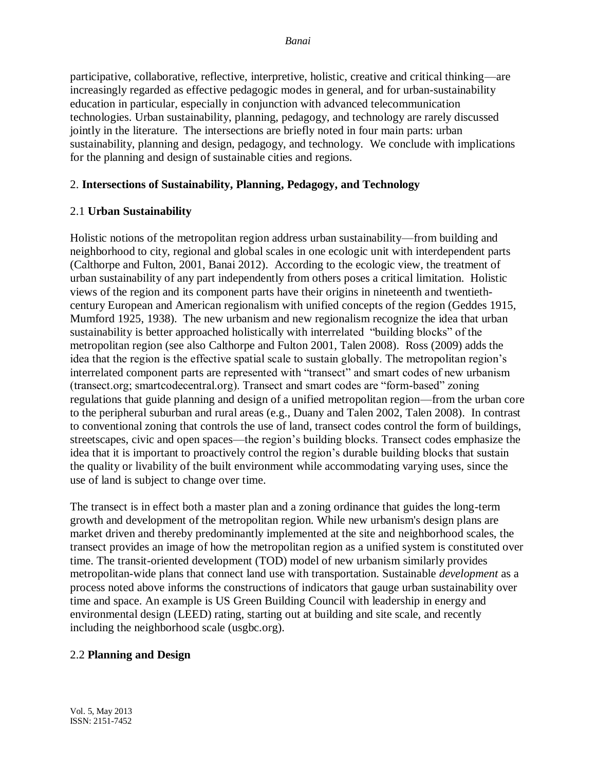participative, collaborative, reflective, interpretive, holistic, creative and critical thinking—are increasingly regarded as effective pedagogic modes in general, and for urban-sustainability education in particular, especially in conjunction with advanced telecommunication technologies. Urban sustainability, planning, pedagogy, and technology are rarely discussed jointly in the literature. The intersections are briefly noted in four main parts: urban sustainability, planning and design, pedagogy, and technology. We conclude with implications for the planning and design of sustainable cities and regions.

## 2. **Intersections of Sustainability, Planning, Pedagogy, and Technology**

## 2.1 **Urban Sustainability**

Holistic notions of the metropolitan region address urban sustainability—from building and neighborhood to city, regional and global scales in one ecologic unit with interdependent parts (Calthorpe and Fulton, 2001, Banai 2012). According to the ecologic view, the treatment of urban sustainability of any part independently from others poses a critical limitation. Holistic views of the region and its component parts have their origins in nineteenth and twentiethcentury European and American regionalism with unified concepts of the region (Geddes 1915, Mumford 1925, 1938). The new urbanism and new regionalism recognize the idea that urban sustainability is better approached holistically with interrelated "building blocks" of the metropolitan region (see also Calthorpe and Fulton 2001, Talen 2008). Ross (2009) adds the idea that the region is the effective spatial scale to sustain globally. The metropolitan region's interrelated component parts are represented with "transect" and smart codes of new urbanism (transect.org; smartcodecentral.org). Transect and smart codes are "form-based" zoning regulations that guide planning and design of a unified metropolitan region—from the urban core to the peripheral suburban and rural areas (e.g., Duany and Talen 2002, Talen 2008). In contrast to conventional zoning that controls the use of land, transect codes control the form of buildings, streetscapes, civic and open spaces—the region's building blocks. Transect codes emphasize the idea that it is important to proactively control the region's durable building blocks that sustain the quality or livability of the built environment while accommodating varying uses, since the use of land is subject to change over time.

The transect is in effect both a master plan and a zoning ordinance that guides the long-term growth and development of the metropolitan region. While new urbanism's design plans are market driven and thereby predominantly implemented at the site and neighborhood scales, the transect provides an image of how the metropolitan region as a unified system is constituted over time. The transit-oriented development (TOD) model of new urbanism similarly provides metropolitan-wide plans that connect land use with transportation. Sustainable *development* as a process noted above informs the constructions of indicators that gauge urban sustainability over time and space. An example is US Green Building Council with leadership in energy and environmental design (LEED) rating, starting out at building and site scale, and recently including the neighborhood scale (usgbc.org).

## 2.2 **Planning and Design**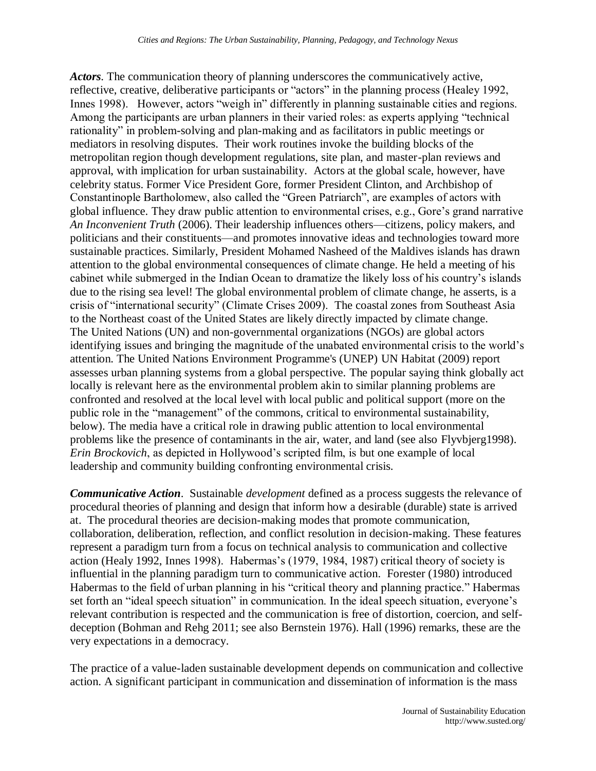*Actors*. The communication theory of planning underscores the communicatively active, reflective, creative, deliberative participants or "actors" in the planning process (Healey 1992, Innes 1998). However, actors "weigh in" differently in planning sustainable cities and regions. Among the participants are urban planners in their varied roles: as experts applying "technical rationality" in problem-solving and plan-making and as facilitators in public meetings or mediators in resolving disputes. Their work routines invoke the building blocks of the metropolitan region though development regulations, site plan, and master-plan reviews and approval, with implication for urban sustainability. Actors at the global scale, however, have celebrity status. Former Vice President Gore, former President Clinton, and Archbishop of Constantinople Bartholomew, also called the "Green Patriarch", are examples of actors with global influence. They draw public attention to environmental crises, e.g., Gore's grand narrative *An Inconvenient Truth* (2006). Their leadership influences others—citizens, policy makers, and politicians and their constituents—and promotes innovative ideas and technologies toward more sustainable practices. Similarly, President Mohamed Nasheed of the Maldives islands has drawn attention to the global environmental consequences of climate change. He held a meeting of his cabinet while submerged in the Indian Ocean to dramatize the likely loss of his country's islands due to the rising sea level! The global environmental problem of climate change, he asserts, is a crisis of "international security" (Climate Crises 2009). The coastal zones from Southeast Asia to the Northeast coast of the United States are likely directly impacted by climate change. The United Nations (UN) and non-governmental organizations (NGOs) are global actors identifying issues and bringing the magnitude of the unabated environmental crisis to the world's attention. The United Nations Environment Programme's (UNEP) UN Habitat (2009) report assesses urban planning systems from a global perspective. The popular saying think globally act locally is relevant here as the environmental problem akin to similar planning problems are confronted and resolved at the local level with local public and political support (more on the public role in the "management" of the commons, critical to environmental sustainability, below). The media have a critical role in drawing public attention to local environmental problems like the presence of contaminants in the air, water, and land (see also Flyvbjerg1998). *Erin Brockovich*, as depicted in Hollywood's scripted film, is but one example of local leadership and community building confronting environmental crisis.

*Communicative Action*. Sustainable *development* defined as a process suggests the relevance of procedural theories of planning and design that inform how a desirable (durable) state is arrived at. The procedural theories are decision-making modes that promote communication, collaboration, deliberation, reflection, and conflict resolution in decision-making. These features represent a paradigm turn from a focus on technical analysis to communication and collective action (Healy 1992, Innes 1998). Habermas's (1979, 1984, 1987) critical theory of society is influential in the planning paradigm turn to communicative action. Forester (1980) introduced Habermas to the field of urban planning in his "critical theory and planning practice." Habermas set forth an "ideal speech situation" in communication. In the ideal speech situation, everyone's relevant contribution is respected and the communication is free of distortion, coercion, and selfdeception (Bohman and Rehg 2011; see also Bernstein 1976). Hall (1996) remarks, these are the very expectations in a democracy.

The practice of a value-laden sustainable development depends on communication and collective action. A significant participant in communication and dissemination of information is the mass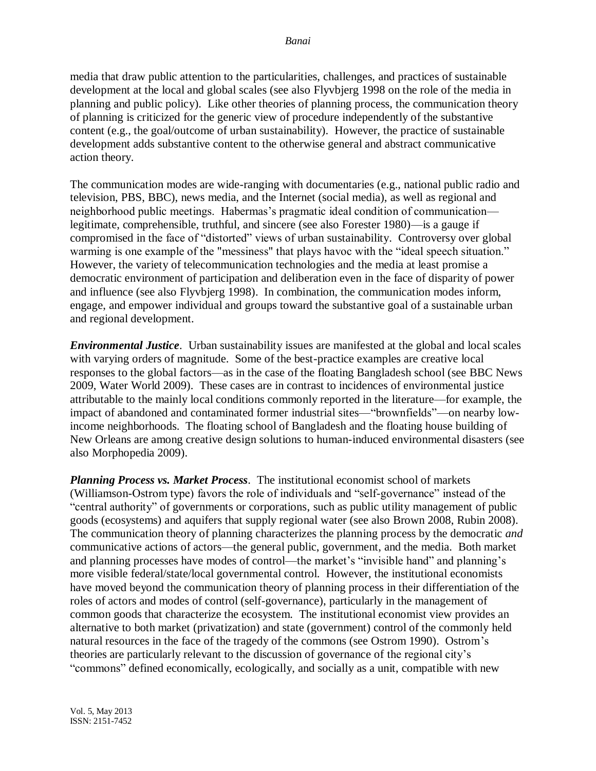media that draw public attention to the particularities, challenges, and practices of sustainable development at the local and global scales (see also Flyvbjerg 1998 on the role of the media in planning and public policy). Like other theories of planning process, the communication theory of planning is criticized for the generic view of procedure independently of the substantive content (e.g., the goal/outcome of urban sustainability). However, the practice of sustainable development adds substantive content to the otherwise general and abstract communicative action theory.

The communication modes are wide-ranging with documentaries (e.g., national public radio and television, PBS, BBC), news media, and the Internet (social media), as well as regional and neighborhood public meetings. Habermas's pragmatic ideal condition of communication legitimate, comprehensible, truthful, and sincere (see also Forester 1980)—is a gauge if compromised in the face of "distorted" views of urban sustainability. Controversy over global warming is one example of the "messiness" that plays havoc with the "ideal speech situation." However, the variety of telecommunication technologies and the media at least promise a democratic environment of participation and deliberation even in the face of disparity of power and influence (see also Flyvbjerg 1998). In combination, the communication modes inform, engage, and empower individual and groups toward the substantive goal of a sustainable urban and regional development.

*Environmental Justice*. Urban sustainability issues are manifested at the global and local scales with varying orders of magnitude. Some of the best-practice examples are creative local responses to the global factors—as in the case of the floating Bangladesh school (see BBC News 2009, Water World 2009). These cases are in contrast to incidences of environmental justice attributable to the mainly local conditions commonly reported in the literature—for example, the impact of abandoned and contaminated former industrial sites—"brownfields"—on nearby lowincome neighborhoods. The floating school of Bangladesh and the floating house building of New Orleans are among creative design solutions to human-induced environmental disasters (see also Morphopedia 2009).

*Planning Process vs. Market Process*. The institutional economist school of markets (Williamson-Ostrom type) favors the role of individuals and "self-governance" instead of the "central authority" of governments or corporations, such as public utility management of public goods (ecosystems) and aquifers that supply regional water (see also Brown 2008, Rubin 2008). The communication theory of planning characterizes the planning process by the democratic *and* communicative actions of actors—the general public, government, and the media. Both market and planning processes have modes of control—the market's "invisible hand" and planning's more visible federal/state/local governmental control. However, the institutional economists have moved beyond the communication theory of planning process in their differentiation of the roles of actors and modes of control (self-governance), particularly in the management of common goods that characterize the ecosystem. The institutional economist view provides an alternative to both market (privatization) and state (government) control of the commonly held natural resources in the face of the tragedy of the commons (see Ostrom 1990). Ostrom's theories are particularly relevant to the discussion of governance of the regional city's "commons" defined economically, ecologically, and socially as a unit, compatible with new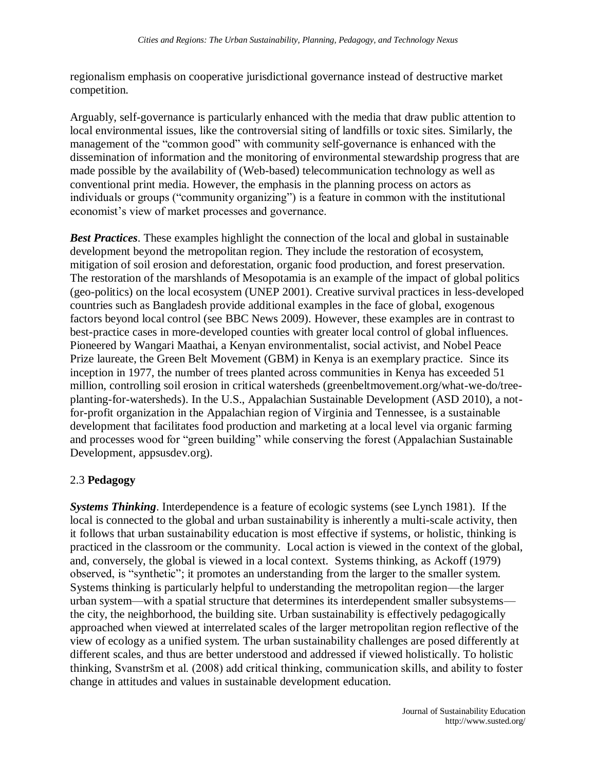regionalism emphasis on cooperative jurisdictional governance instead of destructive market competition.

Arguably, self-governance is particularly enhanced with the media that draw public attention to local environmental issues, like the controversial siting of landfills or toxic sites. Similarly, the management of the "common good" with community self-governance is enhanced with the dissemination of information and the monitoring of environmental stewardship progress that are made possible by the availability of (Web-based) telecommunication technology as well as conventional print media. However, the emphasis in the planning process on actors as individuals or groups ("community organizing") is a feature in common with the institutional economist's view of market processes and governance.

*Best Practices*. These examples highlight the connection of the local and global in sustainable development beyond the metropolitan region. They include the restoration of ecosystem, mitigation of soil erosion and deforestation, organic food production, and forest preservation. The restoration of the marshlands of Mesopotamia is an example of the impact of global politics (geo-politics) on the local ecosystem (UNEP 2001). Creative survival practices in less-developed countries such as Bangladesh provide additional examples in the face of global, exogenous factors beyond local control (see BBC News 2009). However, these examples are in contrast to best-practice cases in more-developed counties with greater local control of global influences. Pioneered by Wangari Maathai, a Kenyan environmentalist, social activist, and Nobel Peace Prize laureate, the Green Belt Movement (GBM) in Kenya is an exemplary practice. Since its inception in 1977, the number of trees planted across communities in Kenya has exceeded 51 million, controlling soil erosion in critical watersheds (greenbeltmovement.org/what-we-do/treeplanting-for-watersheds). In the U.S., Appalachian Sustainable Development (ASD 2010), a notfor-profit organization in the Appalachian region of Virginia and Tennessee, is a sustainable development that facilitates food production and marketing at a local level via organic farming and processes wood for "green building" while conserving the forest (Appalachian Sustainable Development, appsusdev.org).

## 2.3 **Pedagogy**

*Systems Thinking*. Interdependence is a feature of ecologic systems (see Lynch 1981). If the local is connected to the global and urban sustainability is inherently a multi-scale activity, then it follows that urban sustainability education is most effective if systems, or holistic, thinking is practiced in the classroom or the community. Local action is viewed in the context of the global, and, conversely, the global is viewed in a local context. Systems thinking, as Ackoff (1979) observed, is "synthetic"; it promotes an understanding from the larger to the smaller system. Systems thinking is particularly helpful to understanding the metropolitan region—the larger urban system—with a spatial structure that determines its interdependent smaller subsystems the city, the neighborhood, the building site. Urban sustainability is effectively pedagogically approached when viewed at interrelated scales of the larger metropolitan region reflective of the view of ecology as a unified system. The urban sustainability challenges are posed differently at different scales, and thus are better understood and addressed if viewed holistically. To holistic thinking, Svanstršm et al. (2008) add critical thinking, communication skills, and ability to foster change in attitudes and values in sustainable development education.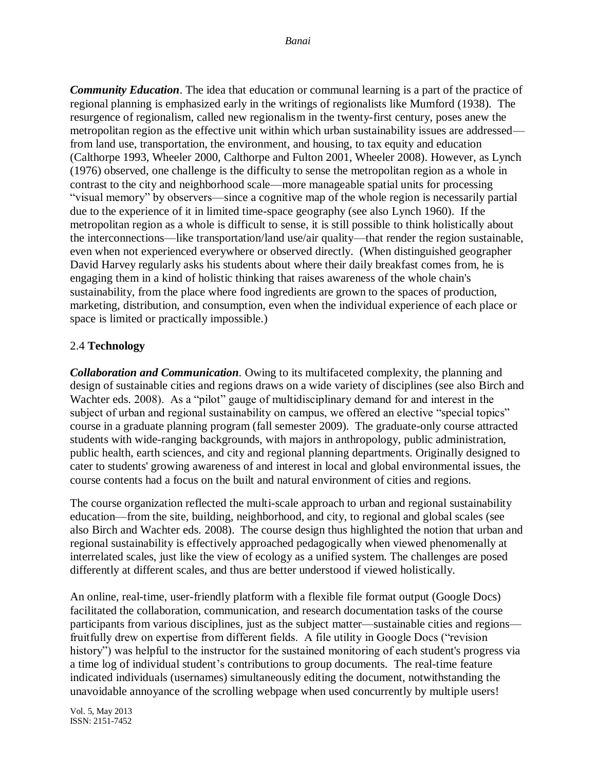*Community Education*. The idea that education or communal learning is a part of the practice of regional planning is emphasized early in the writings of regionalists like Mumford (1938). The resurgence of regionalism, called new regionalism in the twenty-first century, poses anew the metropolitan region as the effective unit within which urban sustainability issues are addressed from land use, transportation, the environment, and housing, to tax equity and education (Calthorpe 1993, Wheeler 2000, Calthorpe and Fulton 2001, Wheeler 2008). However, as Lynch (1976) observed, one challenge is the difficulty to sense the metropolitan region as a whole in contrast to the city and neighborhood scale—more manageable spatial units for processing "visual memory" by observers—since a cognitive map of the whole region is necessarily partial due to the experience of it in limited time-space geography (see also Lynch 1960). If the metropolitan region as a whole is difficult to sense, it is still possible to think holistically about the interconnections—like transportation/land use/air quality—that render the region sustainable, even when not experienced everywhere or observed directly. (When distinguished geographer David Harvey regularly asks his students about where their daily breakfast comes from, he is engaging them in a kind of holistic thinking that raises awareness of the whole chain's sustainability, from the place where food ingredients are grown to the spaces of production, marketing, distribution, and consumption, even when the individual experience of each place or space is limited or practically impossible.)

## 2.4 **Technology**

*Collaboration and Communication.* Owing to its multifaceted complexity, the planning and design of sustainable cities and regions draws on a wide variety of disciplines (see also Birch and Wachter eds. 2008). As a "pilot" gauge of multidisciplinary demand for and interest in the subject of urban and regional sustainability on campus, we offered an elective "special topics" course in a graduate planning program (fall semester 2009). The graduate-only course attracted students with wide-ranging backgrounds, with majors in anthropology, public administration, public health, earth sciences, and city and regional planning departments. Originally designed to cater to students' growing awareness of and interest in local and global environmental issues, the course contents had a focus on the built and natural environment of cities and regions.

The course organization reflected the multi-scale approach to urban and regional sustainability education—from the site, building, neighborhood, and city, to regional and global scales (see also Birch and Wachter eds. 2008). The course design thus highlighted the notion that urban and regional sustainability is effectively approached pedagogically when viewed phenomenally at interrelated scales, just like the view of ecology as a unified system. The challenges are posed differently at different scales, and thus are better understood if viewed holistically.

An online, real-time, user-friendly platform with a flexible file format output (Google Docs) facilitated the collaboration, communication, and research documentation tasks of the course participants from various disciplines, just as the subject matter—sustainable cities and regions fruitfully drew on expertise from different fields. A file utility in Google Docs ("revision history") was helpful to the instructor for the sustained monitoring of each student's progress via a time log of individual student's contributions to group documents. The real-time feature indicated individuals (usernames) simultaneously editing the document, notwithstanding the unavoidable annoyance of the scrolling webpage when used concurrently by multiple users!

Vol. 5, May 2013 ISSN: 2151-7452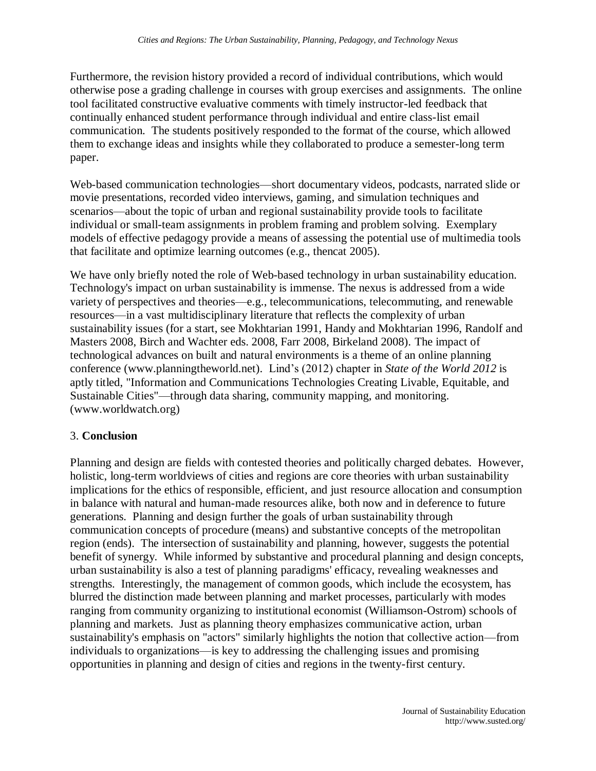Furthermore, the revision history provided a record of individual contributions, which would otherwise pose a grading challenge in courses with group exercises and assignments. The online tool facilitated constructive evaluative comments with timely instructor-led feedback that continually enhanced student performance through individual and entire class-list email communication. The students positively responded to the format of the course, which allowed them to exchange ideas and insights while they collaborated to produce a semester-long term paper.

Web-based communication technologies—short documentary videos, podcasts, narrated slide or movie presentations, recorded video interviews, gaming, and simulation techniques and scenarios—about the topic of urban and regional sustainability provide tools to facilitate individual or small-team assignments in problem framing and problem solving. Exemplary models of effective pedagogy provide a means of assessing the potential use of multimedia tools that facilitate and optimize learning outcomes (e.g., thencat 2005).

We have only briefly noted the role of Web-based technology in urban sustainability education. Technology's impact on urban sustainability is immense. The nexus is addressed from a wide variety of perspectives and theories—e.g., telecommunications, telecommuting, and renewable resources—in a vast multidisciplinary literature that reflects the complexity of urban sustainability issues (for a start, see Mokhtarian 1991, Handy and Mokhtarian 1996, Randolf and Masters 2008, Birch and Wachter eds. 2008, Farr 2008, Birkeland 2008). The impact of technological advances on built and natural environments is a theme of an online planning conference (www.planningtheworld.net). Lind's (2012) chapter in *State of the World 2012* is aptly titled, "Information and Communications Technologies Creating Livable, Equitable, and Sustainable Cities"—through data sharing, community mapping, and monitoring. (www.worldwatch.org)

## 3. **Conclusion**

Planning and design are fields with contested theories and politically charged debates. However, holistic, long-term worldviews of cities and regions are core theories with urban sustainability implications for the ethics of responsible, efficient, and just resource allocation and consumption in balance with natural and human-made resources alike, both now and in deference to future generations. Planning and design further the goals of urban sustainability through communication concepts of procedure (means) and substantive concepts of the metropolitan region (ends). The intersection of sustainability and planning, however, suggests the potential benefit of synergy. While informed by substantive and procedural planning and design concepts, urban sustainability is also a test of planning paradigms' efficacy, revealing weaknesses and strengths. Interestingly, the management of common goods, which include the ecosystem, has blurred the distinction made between planning and market processes, particularly with modes ranging from community organizing to institutional economist (Williamson-Ostrom) schools of planning and markets. Just as planning theory emphasizes communicative action, urban sustainability's emphasis on "actors" similarly highlights the notion that collective action—from individuals to organizations—is key to addressing the challenging issues and promising opportunities in planning and design of cities and regions in the twenty-first century.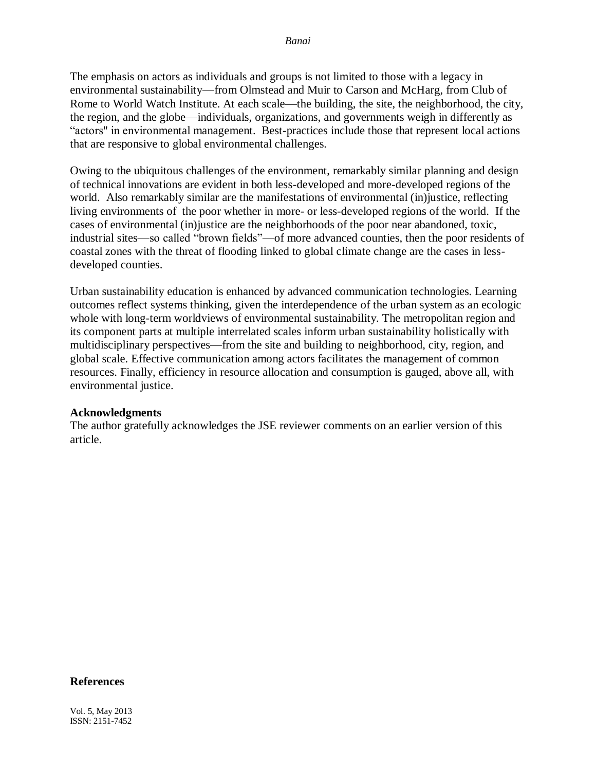The emphasis on actors as individuals and groups is not limited to those with a legacy in environmental sustainability—from Olmstead and Muir to Carson and McHarg, from Club of Rome to World Watch Institute. At each scale—the building, the site, the neighborhood, the city, the region, and the globe—individuals, organizations, and governments weigh in differently as "actors" in environmental management. Best-practices include those that represent local actions that are responsive to global environmental challenges.

Owing to the ubiquitous challenges of the environment, remarkably similar planning and design of technical innovations are evident in both less-developed and more-developed regions of the world. Also remarkably similar are the manifestations of environmental (in) justice, reflecting living environments of the poor whether in more- or less-developed regions of the world. If the cases of environmental (in)justice are the neighborhoods of the poor near abandoned, toxic, industrial sites—so called "brown fields"—of more advanced counties, then the poor residents of coastal zones with the threat of flooding linked to global climate change are the cases in lessdeveloped counties.

Urban sustainability education is enhanced by advanced communication technologies. Learning outcomes reflect systems thinking, given the interdependence of the urban system as an ecologic whole with long-term worldviews of environmental sustainability. The metropolitan region and its component parts at multiple interrelated scales inform urban sustainability holistically with multidisciplinary perspectives—from the site and building to neighborhood, city, region, and global scale. Effective communication among actors facilitates the management of common resources. Finally, efficiency in resource allocation and consumption is gauged, above all, with environmental justice.

## **Acknowledgments**

The author gratefully acknowledges the JSE reviewer comments on an earlier version of this article.

#### **References**

Vol. 5, May 2013 ISSN: 2151-7452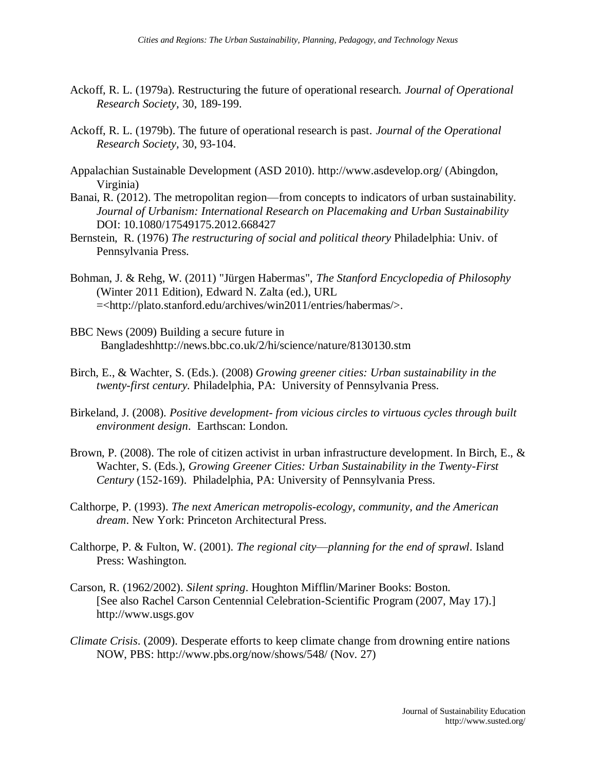- Ackoff, R. L. (1979a). Restructuring the future of operational research. *Journal of Operational Research Society,* 30, 189-199.
- Ackoff, R. L. (1979b). The future of operational research is past. *Journal of the Operational Research Society,* 30, 93-104.
- Appalachian Sustainable Development (ASD 2010). http://www.asdevelop.org/ (Abingdon, Virginia)
- Banai, R. (2012). The metropolitan region—from concepts to indicators of urban sustainability. *Journal of Urbanism: International Research on Placemaking and Urban Sustainability* DOI: 10.1080/17549175.2012.668427
- Bernstein, R. (1976) *The restructuring of social and political theory* Philadelphia: Univ. of Pennsylvania Press.
- Bohman, J. & Rehg, W. (2011) "Jürgen Habermas", *The Stanford Encyclopedia of Philosophy* (Winter 2011 Edition), Edward N. Zalta (ed.), URL =<http://plato.stanford.edu/archives/win2011/entries/habermas/>.
- BBC News (2009) Building a secure future in Bangladeshhttp://news.bbc.co.uk/2/hi/science/nature/8130130.stm
- Birch, E., & Wachter, S. (Eds.). (2008) *Growing greener cities: Urban sustainability in the twenty-first century.* Philadelphia, PA: University of Pennsylvania Press.
- Birkeland, J. (2008). *Positive development- from vicious circles to virtuous cycles through built environment design*. Earthscan: London.
- Brown, P. (2008). The role of citizen activist in urban infrastructure development. In Birch, E., & Wachter, S. (Eds.), *Growing Greener Cities: Urban Sustainability in the Twenty-First Century* (152-169). Philadelphia, PA: University of Pennsylvania Press.
- Calthorpe, P. (1993). *The next American metropolis-ecology, community, and the American dream*. New York: Princeton Architectural Press.
- Calthorpe, P. & Fulton, W. (2001). *The regional city*—*planning for the end of sprawl*. Island Press: Washington.
- Carson, R. (1962/2002). *Silent spring*. Houghton Mifflin/Mariner Books: Boston. [See also Rachel Carson Centennial Celebration-Scientific Program (2007, May 17).] http://www.usgs.gov
- *Climate Crisis*. (2009). Desperate efforts to keep climate change from drowning entire nations NOW, PBS: http://www.pbs.org/now/shows/548/ (Nov. 27)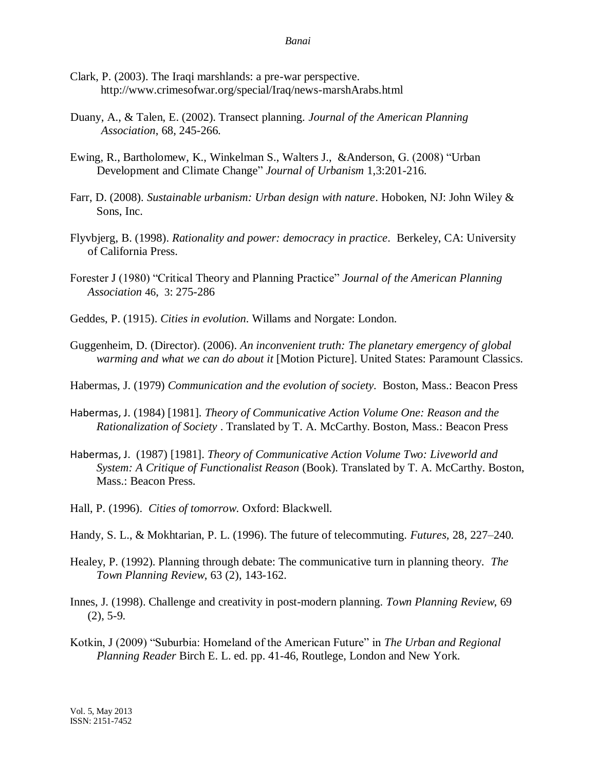- Clark, P. (2003). The Iraqi marshlands: a pre-war perspective. http://www.crimesofwar.org/special/Iraq/news-marshArabs.html
- Duany, A., & Talen, E. (2002). Transect planning. *Journal of the American Planning Association*, 68, 245-266.
- Ewing, R., Bartholomew, K., Winkelman S., Walters J., &Anderson, G. (2008) "Urban Development and Climate Change" *Journal of Urbanism* 1,3:201-216.
- Farr, D. (2008). *Sustainable urbanism: Urban design with nature*. Hoboken, NJ: John Wiley & Sons, Inc.
- Flyvbjerg, B. (1998). *Rationality and power: democracy in practice*. Berkeley, CA: University of California Press.
- Forester J (1980) "Critical Theory and Planning Practice" *Journal of the American Planning Association* 46, 3: 275-286
- Geddes, P. (1915). *Cities in evolution*. Willams and Norgate: London.
- Guggenheim, D. (Director). (2006). *An inconvenient truth: The planetary emergency of global warming and what we can do about it* [Motion Picture]. United States: Paramount Classics.
- Habermas, J. (1979) *Communication and the evolution of society.* Boston, Mass.: Beacon Press
- [Habermas, J](http://en.wikipedia.org/wiki/Jürgen_Habermas). (1984) [1981]. *Theory of Communicative Action Volume One: Reason and the Rationalization of Society* . Translated by T. [A. McCarthy](http://en.wikipedia.org/wiki/Thomas_A._McCarthy). Boston, Mass.: Beacon Press
- [Habermas, J.](http://en.wikipedia.org/wiki/Jürgen_Habermas) (1987) [1981]. *Theory of Communicative Action Volume Two: Liveworld and System: A Critique of Functionalist Reason* (Book). Translated by T. [A. McCarthy.](http://en.wikipedia.org/wiki/Thomas_A._McCarthy) Boston, Mass.: Beacon Press.
- Hall, P. (1996). *Cities of tomorrow*. Oxford: Blackwell.
- Handy, S. L., & Mokhtarian, P. L. (1996). The future of telecommuting. *Futures,* 28, 227–240.
- Healey, P. (1992). Planning through debate: The communicative turn in planning theory. *The Town Planning Review*, 63 (2), 143-162.
- Innes, J. (1998). Challenge and creativity in post-modern planning. *Town Planning Review*, 69 (2), 5-9.
- Kotkin, J (2009) "Suburbia: Homeland of the American Future" in *The Urban and Regional Planning Reader* Birch E. L. ed. pp. 41-46, Routlege, London and New York.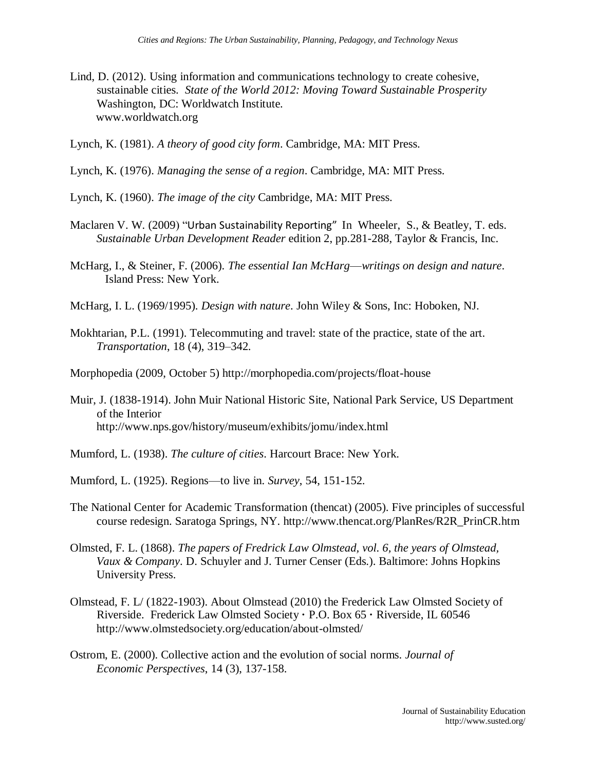- Lind, D. (2012). Using information and communications technology to create cohesive, sustainable cities. *State of the World 2012: Moving Toward Sustainable Prosperity* Washington, DC: Worldwatch Institute. www.worldwatch.org
- Lynch, K. (1981). *A theory of good city form*. Cambridge, MA: MIT Press.
- Lynch, K. (1976). *Managing the sense of a region*. Cambridge, MA: MIT Press.
- Lynch, K. (1960). *The image of the city* Cambridge, MA: MIT Press.
- Maclaren V. W. (2009) "Urban Sustainability Reporting" In [Wheeler,](http://www.barnesandnoble.com/c/stephen-wheeler) S., & [Beatley,](http://www.barnesandnoble.com/c/timothy-beatley) T. eds. *Sustainable Urban Development Reader* edition 2, pp.281-288, Taylor & Francis, Inc.
- McHarg, I., & Steiner, F. (2006). *The essential Ian McHarg*—*writings on design and nature*. Island Press: New York.
- McHarg, I. L. (1969/1995). *Design with nature*. John Wiley & Sons, Inc: Hoboken, NJ.
- Mokhtarian, P.L. (1991). Telecommuting and travel: state of the practice, state of the art. *Transportation*, 18 (4), 319–342.
- Morphopedia (2009, October 5) http://morphopedia.com/projects/float-house
- Muir, J. (1838-1914). John Muir National Historic Site, National Park Service, US Department of the Interior http://www.nps.gov/history/museum/exhibits/jomu/index.html
- Mumford, L. (1938). *The culture of cities*. Harcourt Brace: New York.
- Mumford, L. (1925). Regions—to live in. *Survey*, 54, 151-152.
- The National Center for Academic Transformation (thencat) (2005). Five principles of successful course redesign. Saratoga Springs, NY. http://www.thencat.org/PlanRes/R2R\_PrinCR.htm
- Olmsted, F. L. (1868). *The papers of Fredrick Law Olmstead, vol. 6, the years of Olmstead, Vaux & Company*. D. Schuyler and J. Turner Censer (Eds.). Baltimore: Johns Hopkins University Press.
- Olmstead, F. L/ (1822-1903). About Olmstead (2010) the Frederick Law Olmsted Society of Riverside. Frederick Law Olmsted Society **·** P.O. Box 65 **·** Riverside, IL 60546 http://www.olmstedsociety.org/education/about-olmsted/
- Ostrom, E. (2000). Collective action and the evolution of social norms. *Journal of Economic Perspectives*, 14 (3), 137-158.